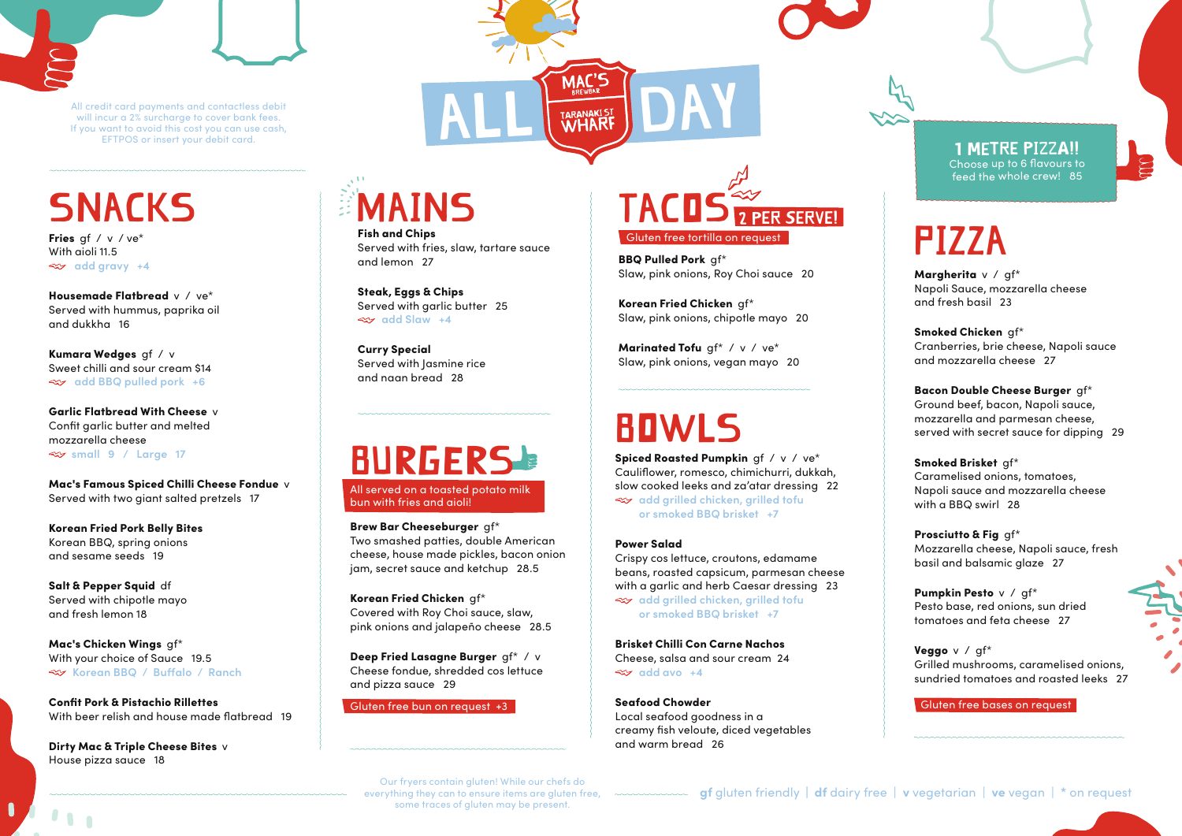

#### **SNACKS**

Fries gf / v / ve\* With aioli 11.5 **add gravy +4**

Housemade Flatbread v / ve\* Served with hummus, paprika oil and dukkha 16

Kumara Wedges gf / v Sweet chilli and sour cream \$14 **add BBQ pulled pork +6**

Garlic Flatbread With Cheese v Confit garlic butter and melted mozzarella cheese **small 9 / Large 17** 

Mac's Famous Spiced Chilli Cheese Fondue v Served with two giant salted pretzels 17

Korean Fried Pork Belly Bites Korean BBQ, spring onions and sesame seeds 19

Salt & Pepper Squid df Served with chipotle mayo and fresh lemon 18

Mac's Chicken Wings gf\* With your choice of Sauce 19.5 **Korean BBQ / Buffalo / Ranch**

Confit Pork & Pistachio Rillettes With beer relish and house made flatbread 19

Dirty Mac & Triple Cheese Bites v House pizza sauce 18

# MAiNS

Fish and Chips Served with fries, slaw, tartare sauce and lemon 27

Steak, Eggs & Chips Served with garlic butter 25 **add Slaw +4**

Curry Special Served with Jasmine rice and naan bread 28



Brew Bar Cheeseburger gf\* Two smashed patties, double American cheese, house made pickles, bacon onion jam, secret sauce and ketchup 28.5

Korean Fried Chicken gf\* Covered with Roy Choi sauce, slaw, pink onions and jalapeño cheese 28.5

Deep Fried Lasagne Burger gf\* / v Cheese fondue, shredded cos lettuce and pizza sauce 29

Gluten free bun on request +3



BBQ Pulled Pork of\* Slaw, pink onions, Roy Choi sauce 20

Korean Fried Chicken gf\* Slaw, pink onions, chipotle mayo 20

Marinated Tofu qf\* / v / ve\* Slaw, pink onions, vegan mayo 20

#### BOWLS

Spiced Roasted Pumpkin gf / v / ve\* Cauliflower, romesco, chimichurri, dukkah, slow cooked leeks and za'atar dressing 22 **add grilled chicken, grilled tofu or smoked BBQ brisket +7**

#### Power Salad

Crispy cos lettuce, croutons, edamame beans, roasted capsicum, parmesan cheese with a garlic and herb Caesar dressing 23 **add grilled chicken, grilled tofu or smoked BBQ brisket +7**

Brisket Chilli Con Carne Nachos Cheese, salsa and sour cream 24  $\approx$ **z** add avo +4

Seafood Chowder Local seafood goodness in a creamy fish veloute, diced vegetables and warm bread 26

1 metre pizza!! Choose up to 6 flavours to feed the whole crew! 85

### PiZZA

Margherita v / gf\* Napoli Sauce, mozzarella cheese and fresh basil 23

Smoked Chicken gf\* Cranberries, brie cheese, Napoli sauce and mozzarella cheese 27

Bacon Double Cheese Burger gf\* Ground beef, bacon, Napoli sauce, mozzarella and parmesan cheese, served with secret sauce for dipping 29

Smoked Brisket af\* Caramelised onions, tomatoes, Napoli sauce and mozzarella cheese with a BBQ swirl 28

Prosciutto & Fig gf\* Mozzarella cheese, Napoli sauce, fresh basil and balsamic glaze 27

Pumpkin Pesto v / qf\* Pesto base, red onions, sun dried tomatoes and feta cheese 27

Veggo v / gf\* Grilled mushrooms, caramelised onions, sundried tomatoes and roasted leeks 27

Gluten free bases on request

Our fryers contain gluten! While our chefs do some traces of gluten may be present.

**gf** gluten friendly **| df** dairy free | **v** vegetarian | **ve** vegan | **\*** on request everything they can to ensure items are gluten free,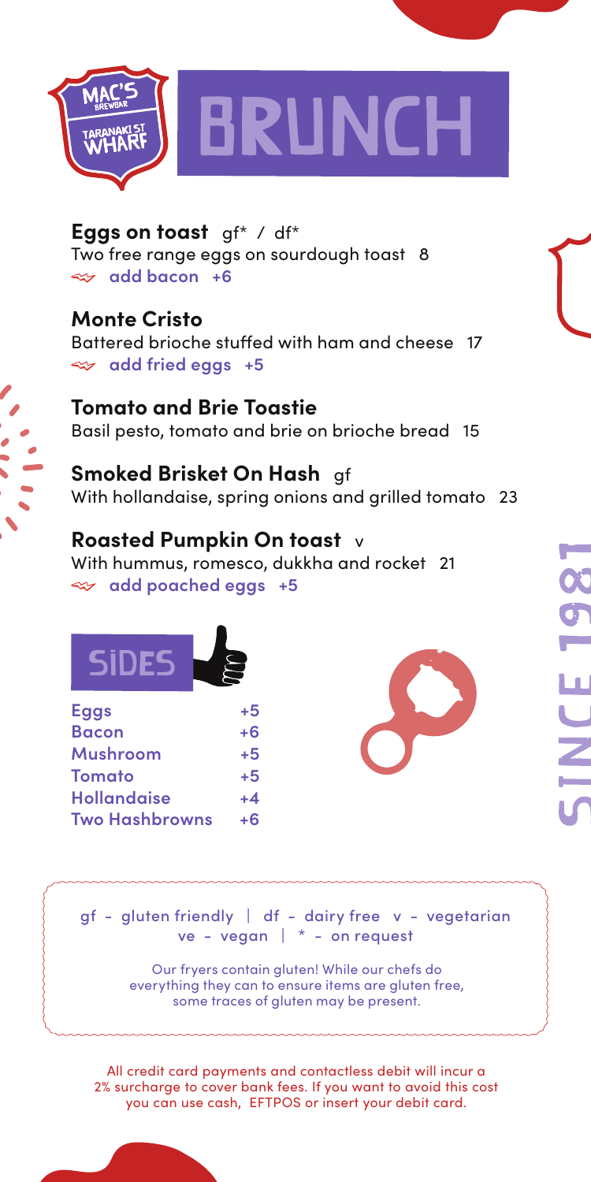

**Eggs on toast** gf\* / df\* Two free range eggs on sourdough toast 8 **add bacon +6**

**Monte Cristo** Battered brioche stuffed with ham and cheese 17 **add fried eggs +5**

**Tomato and Brie Toastie** Basil pesto, tomato and brie on brioche bread 15

**Smoked Brisket On Hash** gf With hollandaise, spring onions and grilled tomato 23

#### **Roasted Pumpkin On toast** v

With hummus, romesco, dukkha and rocket 21 **add poached eggs +5**

| Eggs                  | +5   |
|-----------------------|------|
| <b>Bacon</b>          | $+6$ |
| Mushroom              | +5   |
| Tomato                | $+5$ |
| <b>Hollandaise</b>    | $+4$ |
| <b>Two Hashbrowns</b> | ட    |

gf - gluten friendly | df - dairy free v - vegetarian ve - vegan | \* - on request

> Our fryers contain gluten! While our chefs do everything they can to ensure items are gluten free, some traces of gluten may be present.

All credit card payments and contactless debit will incur a 2% surcharge to cover bank fees. If you want to avoid this cost you can use cash, EFTPOS or insert your debit card.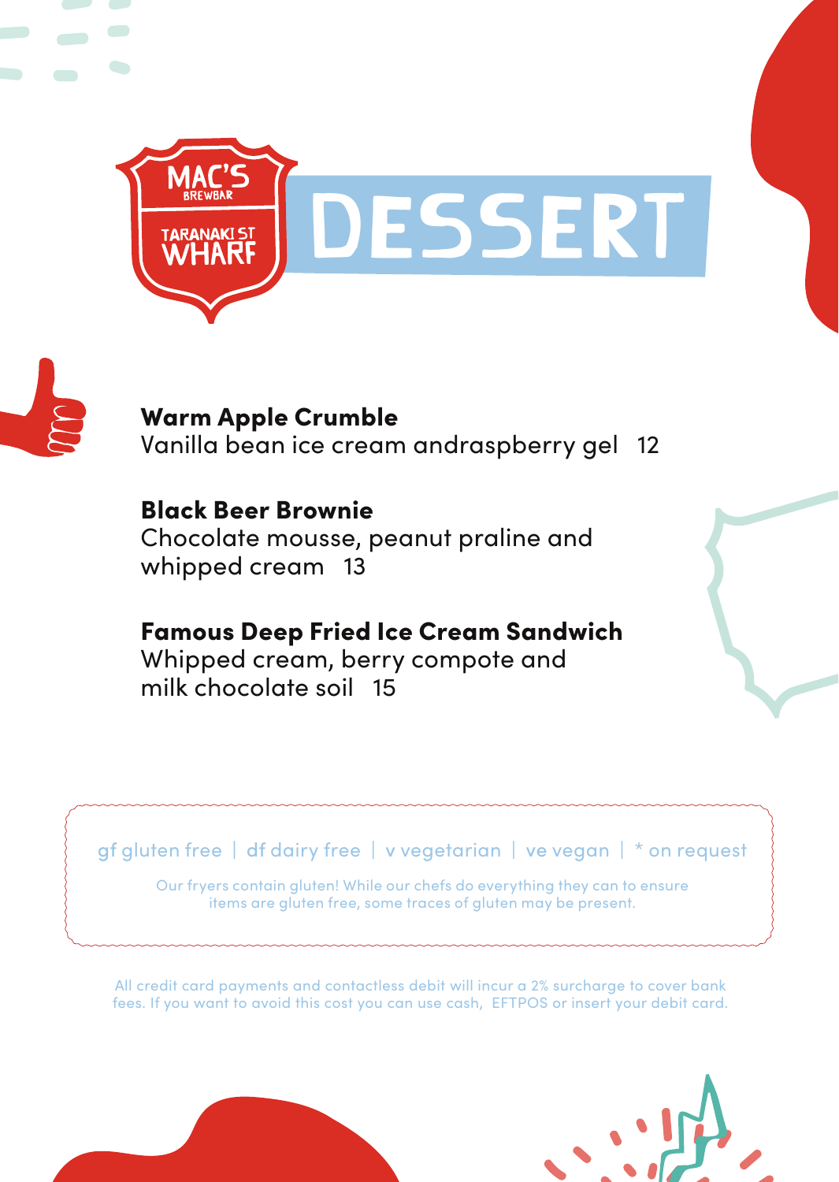



 $\overline{\phantom{a}}$ 

Warm Apple Crumble Vanilla bean ice cream andraspberry gel 12

Black Beer Brownie Chocolate mousse, peanut praline and whipped cream 13

Famous Deep Fried Ice Cream Sandwich Whipped cream, berry compote and milk chocolate soil 15

gf gluten free | df dairy free | v vegetarian | ve vegan | \* on request

Our fryers contain gluten! While our chefs do everything they can to ensure items are gluten free, some traces of gluten may be present.

All credit card payments and contactless debit will incur a 2% surcharge to cover bank fees. If you want to avoid this cost you can use cash, EFTPOS or insert your debit card.